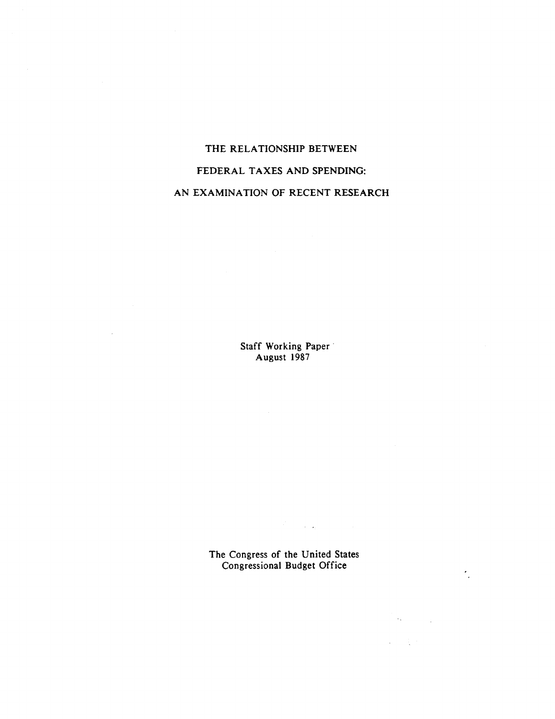# THE RELATIONSHIP BETWEEN FEDERAL TAXES AND SPENDING: AN EXAMINATION OF RECENT RESEARCH

Staff Working Paper August 1987

 $\mathcal{A}$ 

The Congress of the United States Congressional Budget Office

 $\label{eq:2.1} \mathcal{L} = \mathcal{L} \left( \mathcal{L} \right) \left( \mathcal{L} \right) \left( \mathcal{L} \right) \left( \mathcal{L} \right) \left( \mathcal{L} \right) \left( \mathcal{L} \right) \left( \mathcal{L} \right)$ 

 $\hat{\mathcal{L}}_1$ 

 $\label{eq:2.1} \mathcal{L}_{\mathcal{A}}(\mathbf{r}) = \mathcal{L}_{\mathcal{A}}(\mathbf{r}) = \mathcal{L}_{\mathcal{A}}(\mathbf{r}) = \mathcal{L}_{\mathcal{A}}(\mathbf{r})$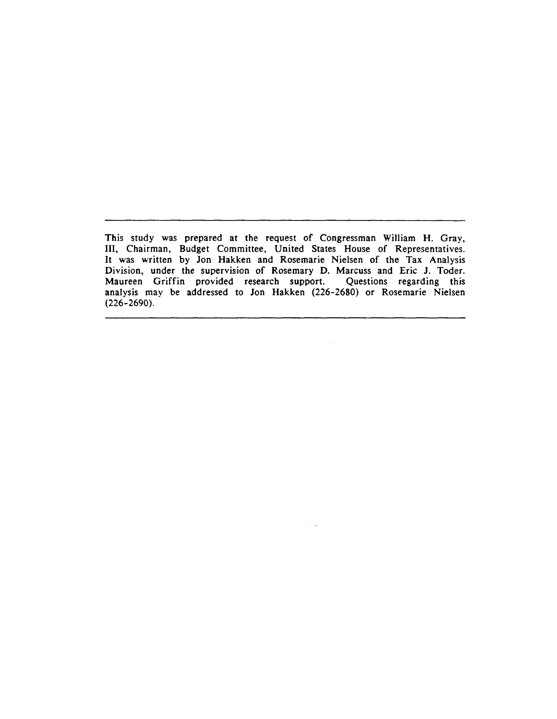This study was prepared at the request of Congressman William H. Gray, HI, Chairman, Budget Committee, United States House of Representatives. It was written by Jon Hakken and Rosemarie Nielsen of the Tax Analysis Division, under the supervision of Rosemary D. Marcuss and Eric J. Toder. Maureen Griffin provided research support. Questions regarding this analysis may be addressed to Jon Hakken (226-2680) or Rosemarie Nielsen (226-2690).

 $\mathcal{L}_{\text{max}}$  ,  $\mathcal{L}_{\text{max}}$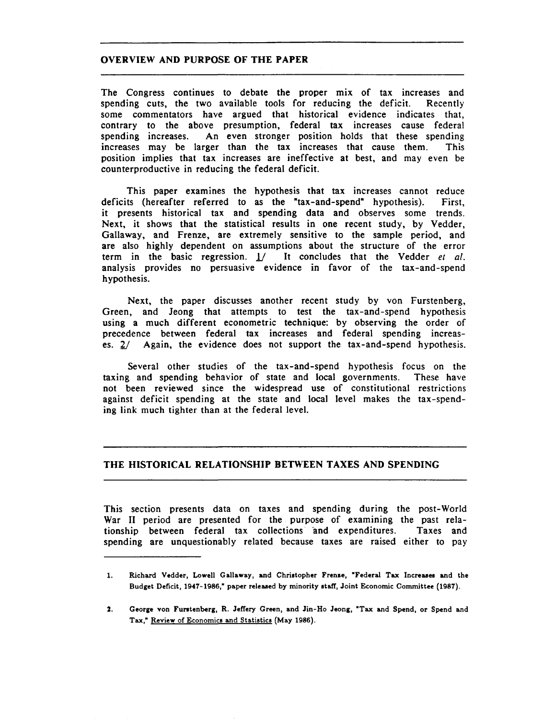#### **OVERVIEW AND PURPOSE OF THE PAPER**

The Congress continues to debate the proper mix of tax increases and spending cuts, the two available tools for reducing the deficit. Recently some commentators have argued that historical evidence indicates that, contrary to the above presumption, federal tax increases cause federal spending increases. An even stronger position holds that these spending An even stronger position holds that these spending increases may be larger than the tax increases that cause them. This position implies that tax increases are ineffective at best, and may even be counterproductive in reducing the federal deficit.

This paper examines the hypothesis that tax increases cannot reduce deficits (hereafter referred to as the "tax-and-spend" hypothesis). First, it presents historical tax and spending data and observes some trends. Next, it shows that the statistical results in one recent study, by Vedder, Gallaway, and Frenze, are extremely sensitive to the sample period, and are also highly dependent on assumptions about the structure of the error term in the basic regression. *\J* It concludes that the Vedder *et al.* analysis provides no persuasive evidence in favor of the tax-and-spend hypothesis.

Next, the paper discusses another recent study by von Furstenberg, Green, and Jeong that attempts to test the tax-and-spend hypothesis using a much different econometric technique: by observing the order of precedence between federal tax increases and federal spending increases. 2/ Again, the evidence does not support the tax-and-spend hypothesis.

Several other studies of the tax-and-spend hypothesis focus on the taxing and spending behavior of state and local governments. These have not been reviewed since the widespread use of constitutional restrictions against deficit spending at the state and local level makes the tax-spending link much tighter than at the federal level.

## **THE HISTORICAL RELATIONSHIP BETWEEN TAXES AND SPENDING**

This section presents data on taxes and spending during the post-World War II period are presented for the purpose of examining the past relationship between federal tax collections and expenditures. Taxes and spending are unquestionably related because taxes are raised either to pay

<sup>1.</sup> Richard Vedder, Lowell Gallaway, and Christopher Frenie, "Federal Tax Increases and the Budget Deficit, 1947-1986," paper released by minority staff, Joint Economic Committee (1987).

<sup>2.</sup> George von Furstenberg, R. Jeffery Green, and Jin-Ho Jeong, "Tax and Spend, or Spend and Tax," Review of Economics and Statistics (May 1986).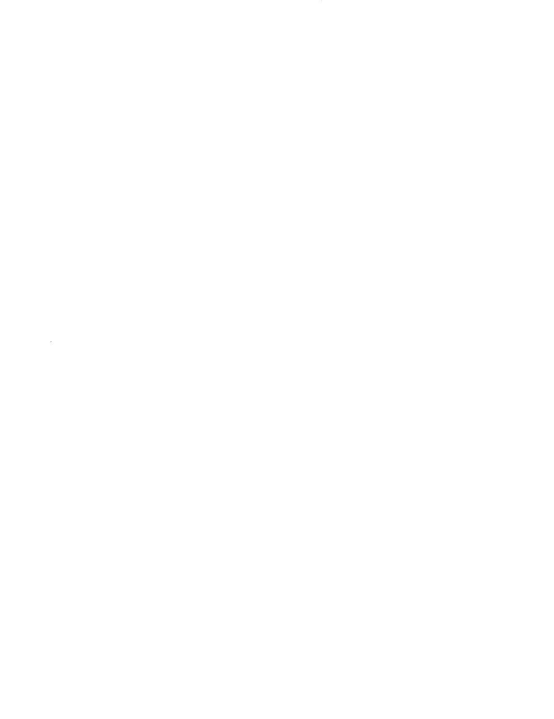$\label{eq:2.1} \frac{1}{\sqrt{2}}\sum_{i=1}^n\frac{1}{\sqrt{2}}\sum_{i=1}^n\frac{1}{\sqrt{2}}\sum_{i=1}^n\frac{1}{\sqrt{2}}\sum_{i=1}^n\frac{1}{\sqrt{2}}\sum_{i=1}^n\frac{1}{\sqrt{2}}\sum_{i=1}^n\frac{1}{\sqrt{2}}\sum_{i=1}^n\frac{1}{\sqrt{2}}\sum_{i=1}^n\frac{1}{\sqrt{2}}\sum_{i=1}^n\frac{1}{\sqrt{2}}\sum_{i=1}^n\frac{1}{\sqrt{2}}\sum_{i=1}^n\frac$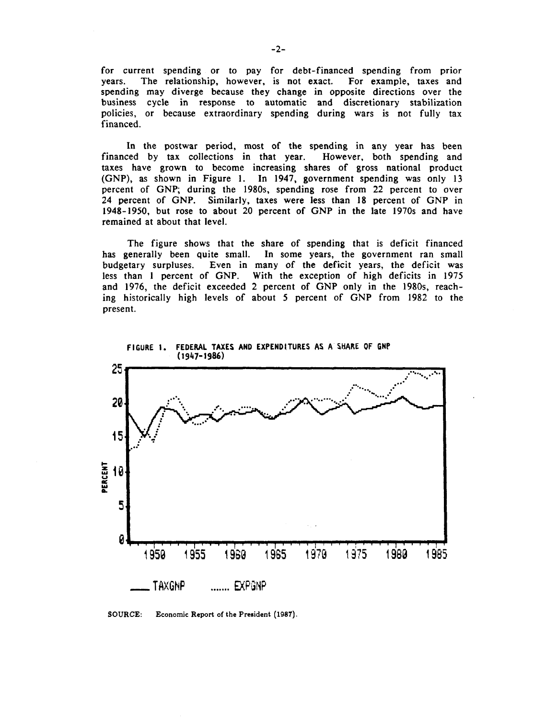for current spending or to pay for debt-financed spending from prior years. The relationship, however, is not exact. For example, taxes and spending may diverge because they change in opposite directions over the business cycle in response to automatic and discretionary stabilization policies, or because extraordinary spending during wars is not fully tax financed.

In the postwar period, most of the spending in any year has been<br>ced by tax collections in that year. However, both spending and financed by tax collections in that year. taxes have grown to become increasing shares of gross national product (GNP), as shown in Figure 1. In 1947, government spending was only 13 percent of GNP; during the 1980s, spending rose from 22 percent to over 24 percent of GNP. Similarly, taxes were less than 18 percent of GNP in 1948-1950, but rose to about 20 percent of GNP in the late 1970s and have remained at about that level.

The figure shows that the share of spending that is deficit financed has generally been quite small. In some years, the government ran small budgetary surpluses. Even in many of the deficit years, the deficit was less than 1 percent of GNP. With the exception of high deficits in 1975 and 1976, the deficit exceeded 2 percent of GNP only in the 1980s, reaching historically high levels of about 5 percent of GNP from 1982 to the present.





SOURCE: Economic Report of the President (1987).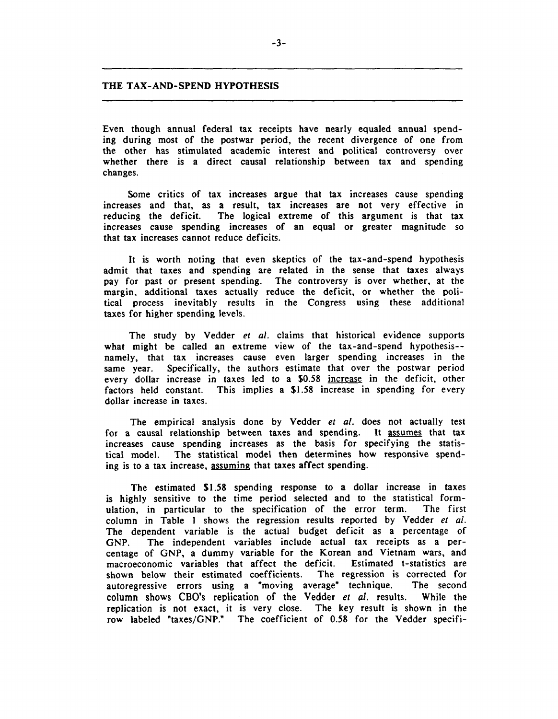#### **THE TAX-AND-SPEND HYPOTHESIS**

Even though annual federal tax receipts have nearly equaled annual spending during most of the postwar period, the recent divergence of one from the other has stimulated academic interest and political controversy over whether there is a direct causal relationship between tax and spending changes.

Some critics of tax increases argue that tax increases cause spending increases and that, as a result, tax increases are not very effective in reducing the deficit. The logical extreme of this argument is that tax The logical extreme of this argument is that tax increases cause spending increases of an equal or greater magnitude so that tax increases cannot reduce deficits.

It is worth noting that even skeptics of the tax-and-spend hypothesis admit that taxes and spending are related in the sense that taxes always pay for past or present spending. The controversy is over whether, at the margin, additional taxes actually reduce the deficit, or whether the political process inevitably results in the Congress using these additional taxes for higher spending levels.

The study by Vedder *el al.* claims that historical evidence supports what might be called an extreme view of the tax-and-spend hypothesis- namely, that tax increases cause even larger spending increases in the same year. Specifically, the authors estimate that over the postwar period every dollar increase in taxes led to a \$0.58 increase in the deficit, other factors held constant. This implies a \$1.58 increase in spending for every dollar increase in taxes.

The empirical analysis done by Vedder *et al.* does not actually test for a causal relationship between taxes and spending. It assumes that tax increases cause spending increases as the basis for specifying the statistical model. The statistical model then determines how responsive spending is to a tax increase, assuming that taxes affect spending.

The estimated \$1.58 spending response to a dollar increase in taxes is highly sensitive to the time period selected and to the statistical formulation, in particular to the specification of the error term. The first column in Table 1 shows the regression results reported by Vedder *et al.* The dependent variable is the actual budget deficit as a percentage of GNP. The independent variables include actual tax receipts as a percentage of GNP, a dummy variable for the Korean and Vietnam wars, and macroeconomic variables that affect the deficit. Estimated t-statistics are shown below their estimated coefficients. The regression is corrected for autoregressive errors using a "moving average" technique. The second column shows CBO's replication of the Vedder *et al.* results. While the replication is not exact, it is very close. The key result is shown in the row labeled "taxes/GNP." The coefficient of 0.58 for the Vedder specifi-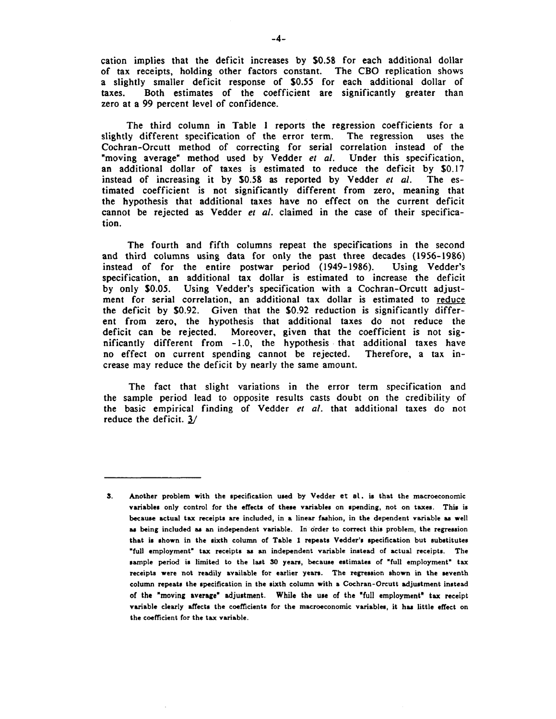cation implies that the deficit increases by \$0.58 for each additional dollar of tax receipts, holding other factors constant. The CBO replication shows a slightly smaller deficit response of \$0.55 for each additional dollar of taxes. Both estimates of the coefficient are significantly greater than zero at a 99 percent level of confidence.

The third column in Table 1 reports the regression coefficients for a slightly different specification of the error term. The regression uses the Cochran-Orcutt method of correcting for serial correlation instead of the "moving average" method used by Vedder *et al.* Under this specification, an additional dollar of taxes is estimated to reduce the deficit by \$0.17 instead of increasing it by \$0.58 as reported by Vedder *et al.* The estimated coefficient is not significantly different from zero, meaning that the hypothesis that additional taxes have no effect on the current deficit cannot be rejected as Vedder *et al.* claimed in the case of their specification.

The fourth and fifth columns repeat the specifications in the second and third columns using data for only the past three decades (1956-1986) instead of for the entire postwar period (1949-1986). Using Vedder's specification, an additional tax dollar is estimated to increase the deficit by only \$0.05. Using Vedder's specification with a Cochran-Orcutt adjustment for serial correlation, an additional tax dollar is estimated to reduce the deficit by \$0.92. Given that the \$0.92 reduction is significantly different from zero, the hypothesis that additional taxes do not reduce the deficit can be rejected. Moreover, given that the coefficient is not significantly different from -1.0, the hypothesis that additional taxes have no effect on current spending cannot be rejected. Therefore, a tax increase may reduce the deficit by nearly the same amount.

The fact that slight variations in the error term specification and the sample period lead to opposite results casts doubt on the credibility of the basic empirical finding of Vedder *et al.* that additional taxes do not reduce the deficit. *I/*

<sup>3.</sup> Another problem with the specification used by Vedder et al. is that the macroeconomic variables only control for the effects of these variables on spending, not on taxes. This is because actual tax receipts are included, in a linear fashion, in the dependent variable as well as being included as an independent variable. In order to correct this problem, the regression that *it* shown in the sixth column of Table 1 repeats Vedder's specification but substitutes "full employment" tax receipts as an independent variable instead of actual receipts. The sample period is limited to the last 30 years, because estimates of "full employment" tax receipts were not readily available for earlier years. The regression shown in the seventh column repeats the specification in the sixth column with a Cochran-Orcutt adjustment instead of the "moving average" adjustment. While the use of the "full employment" tax receipt variable clearly affects the coefficients for the macroeconomic variables, it has little effect on the coefficient for the tax variable.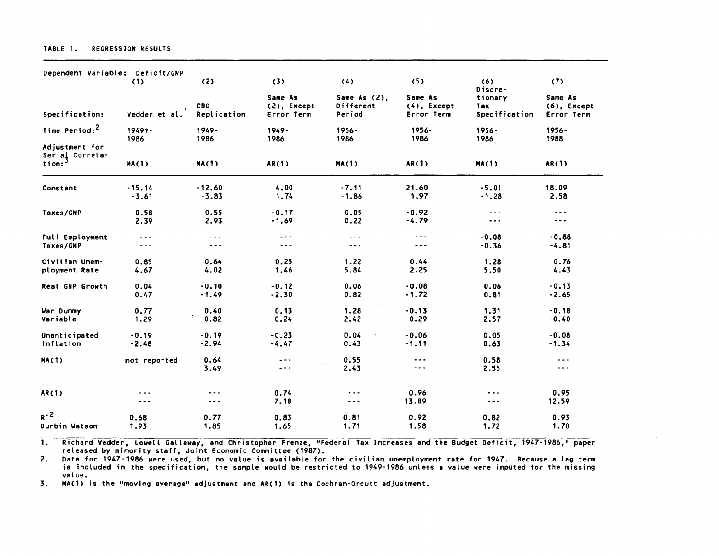| Dependent Variable: Deficit/GNP            | (1)                        | (2)<br><b>CBO</b><br>Replication | (3)<br>Same As<br>(2), Except<br>Error Term                                                                                                                                                                                                                                                                                                                                                         | (4)<br>Same As (2),<br>Different<br>Period | (5)<br>Same As<br>$(4)$ , Except<br>Error Term                                                                                                                                                                                                                                                                                                                                                   | (6)<br>Discre-<br>tionary<br>Tax<br>Specification | (7)<br>Same As<br>$(6)$ , Except<br>Error Term |
|--------------------------------------------|----------------------------|----------------------------------|-----------------------------------------------------------------------------------------------------------------------------------------------------------------------------------------------------------------------------------------------------------------------------------------------------------------------------------------------------------------------------------------------------|--------------------------------------------|--------------------------------------------------------------------------------------------------------------------------------------------------------------------------------------------------------------------------------------------------------------------------------------------------------------------------------------------------------------------------------------------------|---------------------------------------------------|------------------------------------------------|
| Specification:                             | Vedder et al. <sup>1</sup> |                                  |                                                                                                                                                                                                                                                                                                                                                                                                     |                                            |                                                                                                                                                                                                                                                                                                                                                                                                  |                                                   |                                                |
| Time Period: <sup>2</sup>                  | $1949? -$                  | $1949 -$                         | $1949 -$                                                                                                                                                                                                                                                                                                                                                                                            | $1956 -$                                   | $1956 -$                                                                                                                                                                                                                                                                                                                                                                                         | $1956 -$                                          | $1956 -$                                       |
| Adjustment for<br>Serial Correla-<br>tion: | 1986<br><b>MA(1)</b>       | 1986<br>MA(1)                    | 1986<br>AR(1)                                                                                                                                                                                                                                                                                                                                                                                       | 1986<br>MA(1)                              | 1986<br>AR(1)                                                                                                                                                                                                                                                                                                                                                                                    | 1986<br><b>MA(1)</b>                              | 1988<br>AR(1)                                  |
| Constant                                   | $-15.14$                   | $-12.60$                         | 4.00                                                                                                                                                                                                                                                                                                                                                                                                | $-7.11$                                    | 21.60                                                                                                                                                                                                                                                                                                                                                                                            | $-5.01$                                           | 18.09                                          |
|                                            | $-3.61$                    | $-3.83$                          | 1.74                                                                                                                                                                                                                                                                                                                                                                                                | $-1.86$                                    | 1.97                                                                                                                                                                                                                                                                                                                                                                                             | $-1.28$                                           | 2.58                                           |
| Taxes/GNP                                  | 0.58                       | 0.55                             | $-0.17$                                                                                                                                                                                                                                                                                                                                                                                             | 0.05                                       | $-0.92$                                                                                                                                                                                                                                                                                                                                                                                          |                                                   | $- - -$                                        |
|                                            | 2.39                       | 2.93                             | $-1.69$                                                                                                                                                                                                                                                                                                                                                                                             | 0.22                                       | $-4.79$                                                                                                                                                                                                                                                                                                                                                                                          | $\cdots$                                          | $\sim$ $\sim$ $\sim$                           |
| Full Employment                            | $\cdots$                   | $- - -$                          | $\frac{1}{2}$                                                                                                                                                                                                                                                                                                                                                                                       | $\overline{\phantom{a}}$                   | $\ddotsc$                                                                                                                                                                                                                                                                                                                                                                                        | $-0.08$                                           | $-0.88$                                        |
| Taxes/GNP                                  | $- - -$                    | $- - -$                          | .                                                                                                                                                                                                                                                                                                                                                                                                   | $\frac{1}{2}$                              | ---                                                                                                                                                                                                                                                                                                                                                                                              | $-0.36$                                           | $-4.81$                                        |
| Civilian Unem-                             | 0.85                       | 0.64                             | 0.25                                                                                                                                                                                                                                                                                                                                                                                                | 1.22                                       | 0.44                                                                                                                                                                                                                                                                                                                                                                                             | 1.28                                              | 0.76                                           |
| ployment Rate                              | 4.67                       | 4.02                             | 1.46                                                                                                                                                                                                                                                                                                                                                                                                | 5.84                                       | 2.25                                                                                                                                                                                                                                                                                                                                                                                             | 5.50                                              | 4.43                                           |
| Real GNP Growth                            | 0.04                       | $-0.10$                          | $-0.12$                                                                                                                                                                                                                                                                                                                                                                                             | 0.06                                       | $-0.08$                                                                                                                                                                                                                                                                                                                                                                                          | 0.06                                              | $-0.13$                                        |
|                                            | 0.47                       | $-1.49$                          | $-2.30$                                                                                                                                                                                                                                                                                                                                                                                             | 0.82                                       | $-1.72$                                                                                                                                                                                                                                                                                                                                                                                          | 0.81                                              | $-2.65$                                        |
| War Dummy                                  | 0.77                       | 0.40                             | 0.13                                                                                                                                                                                                                                                                                                                                                                                                | 1.28                                       | $-0.13$                                                                                                                                                                                                                                                                                                                                                                                          | 1.31                                              | $-0.18$                                        |
| Variable                                   | 1.29                       | 0.82                             | 0.24                                                                                                                                                                                                                                                                                                                                                                                                | 2.42                                       | $-0.29$                                                                                                                                                                                                                                                                                                                                                                                          | 2.57                                              | $-0.40$                                        |
| Unanticipated                              | $-0.19$                    | $-0.19$                          | $-0.23$                                                                                                                                                                                                                                                                                                                                                                                             | 0.04                                       | $-0.06$                                                                                                                                                                                                                                                                                                                                                                                          | 0.05                                              | $-0.08$                                        |
| Inflation                                  | $-2.48$                    | $-2.94$                          | $-4.47$                                                                                                                                                                                                                                                                                                                                                                                             | 0.43                                       | $-1.11$                                                                                                                                                                                                                                                                                                                                                                                          | 0.63                                              | $-1.34$                                        |
| <b>MA(1)</b>                               | not reported               | 0.64<br>3.49                     | ---<br>$\frac{1}{2} \frac{1}{2} \frac{1}{2} \frac{1}{2} \frac{1}{2} \frac{1}{2} \frac{1}{2} \frac{1}{2} \frac{1}{2} \frac{1}{2} \frac{1}{2} \frac{1}{2} \frac{1}{2} \frac{1}{2} \frac{1}{2} \frac{1}{2} \frac{1}{2} \frac{1}{2} \frac{1}{2} \frac{1}{2} \frac{1}{2} \frac{1}{2} \frac{1}{2} \frac{1}{2} \frac{1}{2} \frac{1}{2} \frac{1}{2} \frac{1}{2} \frac{1}{2} \frac{1}{2} \frac{1}{2} \frac{$ | 0.55<br>2.43                               | <br>$\frac{1}{2} \frac{1}{2} \frac{1}{2} \frac{1}{2} \frac{1}{2} \frac{1}{2} \frac{1}{2} \frac{1}{2} \frac{1}{2} \frac{1}{2} \frac{1}{2} \frac{1}{2} \frac{1}{2} \frac{1}{2} \frac{1}{2} \frac{1}{2} \frac{1}{2} \frac{1}{2} \frac{1}{2} \frac{1}{2} \frac{1}{2} \frac{1}{2} \frac{1}{2} \frac{1}{2} \frac{1}{2} \frac{1}{2} \frac{1}{2} \frac{1}{2} \frac{1}{2} \frac{1}{2} \frac{1}{2} \frac{$ | 0.58<br>2.55                                      | - - -<br>$\cdots$                              |
| <b>AR(1)</b>                               | .                          | $\cdots$                         | 0.74                                                                                                                                                                                                                                                                                                                                                                                                |                                            | 0.96                                                                                                                                                                                                                                                                                                                                                                                             | ---                                               | 0.95                                           |
|                                            |                            | ---                              | 7.18                                                                                                                                                                                                                                                                                                                                                                                                |                                            | 13.89                                                                                                                                                                                                                                                                                                                                                                                            | ---                                               | 12.59                                          |
| $R - 2$                                    | 0.68                       | 0.77                             | 0.83                                                                                                                                                                                                                                                                                                                                                                                                | 0.81                                       | 0.92                                                                                                                                                                                                                                                                                                                                                                                             | 0.82                                              | 0.93                                           |
| Durbin Watson                              | 1.93                       | 1.85                             | 1.65                                                                                                                                                                                                                                                                                                                                                                                                | 1.71                                       | 1.58                                                                                                                                                                                                                                                                                                                                                                                             | 1.72                                              | 1.70                                           |

#### TABLE 1. REGRESSION RESULTS

Richard Vedder, Lowell Gallaway, and Christopher Frenze, "Federal Tax Increases and the Budget Deficit, 1947-1986," paper  $\overline{1}$ . released by minority staff, Joint Economic Committee (1987).

 $2.$ Data for 1947-1986 were used, but no value is available for the civilian unemployment rate for 1947. Because a lag term is included in the specification, the sample would be restricted to 1949-1986 unless a value were imputed for the missing value.

 $\mathbf{3}$ . MA(1) is the "moving average" adjustment and AR(1) is the Cochran-Orcutt adjustment.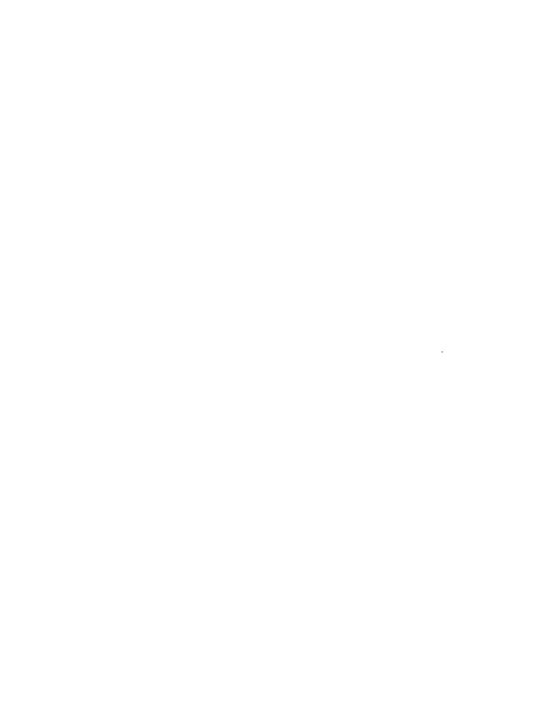$\label{eq:2.1} \frac{1}{\sqrt{2}}\int_{\mathbb{R}^3}\frac{1}{\sqrt{2}}\left(\frac{1}{\sqrt{2}}\right)^2\frac{1}{\sqrt{2}}\left(\frac{1}{\sqrt{2}}\right)^2\frac{1}{\sqrt{2}}\left(\frac{1}{\sqrt{2}}\right)^2.$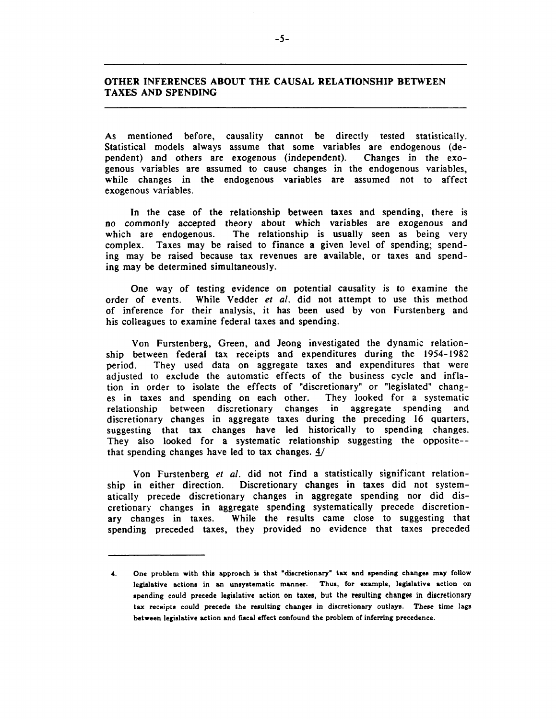#### **OTHER INFERENCES ABOUT THE CAUSAL RELATIONSHIP BETWEEN TAXES AND SPENDING**

As mentioned before, causality cannot be directly tested statistically. Statistical models always assume that some variables are endogenous (dependent) and others are exogenous (independent). Changes in the exopendent) and others are exogenous (independent). genous variables are assumed to cause changes in the endogenous variables, while changes in the endogenous variables are assumed not to affect exogenous variables.

In the case of the relationship between taxes and spending, there is no commonly accepted theory about which variables are exogenous and which are endogenous. The relationship is usually seen as being very complex. Taxes may be raised to finance a given level of spending; spending may be raised because tax revenues are available, or taxes and spending may be determined simultaneously.

One way of testing evidence on potential causality is to examine the order of events. While Vedder *et al.* did not attempt to use this method of inference for their analysis, it has been used by von Furstenberg and his colleagues to examine federal taxes and spending.

Von Furstenberg, Green, and Jeong investigated the dynamic relationship between federal tax receipts and expenditures during the 1954-1982 period. They used data on aggregate taxes and expenditures that were adjusted to exclude the automatic effects of the business cycle and inflation in order to isolate the effects of "discretionary" or "legislated" chang-<br>es in taxes and spending on each other. They looked for a systematic es in taxes and spending on each other. relationship between discretionary changes in aggregate spending and discretionary changes in aggregate taxes during the preceding 16 quarters, suggesting that tax changes have led historically to spending changes. They also looked for a systematic relationship suggesting the opposite- that spending changes have led to tax changes. 4/

Von Furstenberg *et al.* did not find a statistically significant relationship in either direction. Discretionary changes in taxes did not systematically precede discretionary changes in aggregate spending nor did discretionary changes in aggregate spending systematically precede discretionary changes in taxes. While the results came close to suggesting that spending preceded taxes, they provided no evidence that taxes preceded

One problem with this approach is that "discretionary" tax and spending changes may follow  $\blacktriangle$ legislative actions in an unsystematic manner. Thus, for example, legislative action on spending could precede legislative action on taxes, but the resulting changes in discretionary tax receipts could precede the resulting changes in discretionary outlays. These time lags between legislative action and fiscal effect confound the problem of inferring precedence.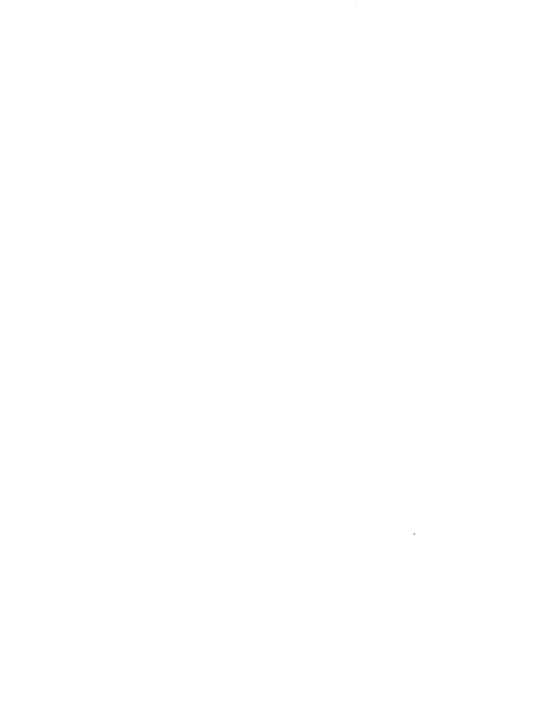$\mathcal{L}^{\text{max}}_{\text{max}}$  , where  $\mathcal{L}^{\text{max}}_{\text{max}}$